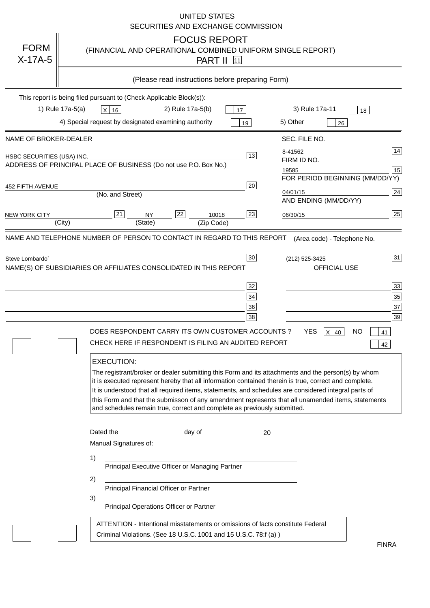|                                                                                      |                                                                     |                                    |                                                                                                                                      |                  | <b>UNITED STATES</b>                       | SECURITIES AND EXCHANGE COMMISSION                                                                                                                                                                                 |                      |                                                                                                                                                                                                                                                                                                                                                                                                                                                                             |           |                                        |
|--------------------------------------------------------------------------------------|---------------------------------------------------------------------|------------------------------------|--------------------------------------------------------------------------------------------------------------------------------------|------------------|--------------------------------------------|--------------------------------------------------------------------------------------------------------------------------------------------------------------------------------------------------------------------|----------------------|-----------------------------------------------------------------------------------------------------------------------------------------------------------------------------------------------------------------------------------------------------------------------------------------------------------------------------------------------------------------------------------------------------------------------------------------------------------------------------|-----------|----------------------------------------|
| <b>FORM</b><br>$X-17A-5$                                                             |                                                                     |                                    |                                                                                                                                      |                  | <b>FOCUS REPORT</b><br><b>PART II</b> [11] |                                                                                                                                                                                                                    |                      | (FINANCIAL AND OPERATIONAL COMBINED UNIFORM SINGLE REPORT)                                                                                                                                                                                                                                                                                                                                                                                                                  |           |                                        |
|                                                                                      |                                                                     |                                    |                                                                                                                                      |                  |                                            | (Please read instructions before preparing Form)                                                                                                                                                                   |                      |                                                                                                                                                                                                                                                                                                                                                                                                                                                                             |           |                                        |
|                                                                                      | This report is being filed pursuant to (Check Applicable Block(s)): |                                    |                                                                                                                                      |                  |                                            |                                                                                                                                                                                                                    |                      |                                                                                                                                                                                                                                                                                                                                                                                                                                                                             |           |                                        |
|                                                                                      | 1) Rule 17a-5(a)                                                    | $X$ 16                             |                                                                                                                                      | 2) Rule 17a-5(b) |                                            | 17                                                                                                                                                                                                                 |                      | 3) Rule 17a-11                                                                                                                                                                                                                                                                                                                                                                                                                                                              | 18        |                                        |
|                                                                                      | 4) Special request by designated examining authority                |                                    |                                                                                                                                      |                  |                                            | 19                                                                                                                                                                                                                 | 5) Other             |                                                                                                                                                                                                                                                                                                                                                                                                                                                                             | 26        |                                        |
| NAME OF BROKER-DEALER                                                                |                                                                     |                                    |                                                                                                                                      |                  |                                            |                                                                                                                                                                                                                    |                      | SEC. FILE NO.                                                                                                                                                                                                                                                                                                                                                                                                                                                               |           |                                        |
| HSBC SECURITIES (USA) INC.                                                           |                                                                     |                                    |                                                                                                                                      |                  |                                            | 13                                                                                                                                                                                                                 | 8-41562              |                                                                                                                                                                                                                                                                                                                                                                                                                                                                             |           | 14                                     |
| ADDRESS OF PRINCIPAL PLACE OF BUSINESS (Do not use P.O. Box No.)                     |                                                                     |                                    |                                                                                                                                      |                  |                                            |                                                                                                                                                                                                                    | FIRM ID NO.<br>19585 |                                                                                                                                                                                                                                                                                                                                                                                                                                                                             |           | 15                                     |
|                                                                                      |                                                                     |                                    |                                                                                                                                      |                  |                                            |                                                                                                                                                                                                                    |                      | FOR PERIOD BEGINNING (MM/DD/YY)                                                                                                                                                                                                                                                                                                                                                                                                                                             |           |                                        |
| 452 FIFTH AVENUE                                                                     |                                                                     | (No. and Street)                   |                                                                                                                                      |                  |                                            | 20                                                                                                                                                                                                                 | 04/01/15             |                                                                                                                                                                                                                                                                                                                                                                                                                                                                             |           | 24                                     |
|                                                                                      |                                                                     |                                    |                                                                                                                                      |                  |                                            |                                                                                                                                                                                                                    |                      | AND ENDING (MM/DD/YY)                                                                                                                                                                                                                                                                                                                                                                                                                                                       |           |                                        |
| <b>NEW YORK CITY</b>                                                                 | (City)                                                              | 21                                 | <b>NY</b><br>(State)                                                                                                                 | 22               | 10018<br>(Zip Code)                        | 23                                                                                                                                                                                                                 | 06/30/15             |                                                                                                                                                                                                                                                                                                                                                                                                                                                                             |           | 25                                     |
| NAME AND TELEPHONE NUMBER OF PERSON TO CONTACT IN REGARD TO THIS REPORT              |                                                                     |                                    |                                                                                                                                      |                  |                                            |                                                                                                                                                                                                                    |                      |                                                                                                                                                                                                                                                                                                                                                                                                                                                                             |           |                                        |
| Steve Lombardo`<br>NAME(S) OF SUBSIDIARIES OR AFFILIATES CONSOLIDATED IN THIS REPORT |                                                                     | <b>EXECUTION:</b>                  |                                                                                                                                      |                  |                                            | 30<br>32<br>34<br>36<br>38<br>DOES RESPONDENT CARRY ITS OWN CUSTOMER ACCOUNTS?<br>CHECK HERE IF RESPONDENT IS FILING AN AUDITED REPORT<br>and schedules remain true, correct and complete as previously submitted. |                      | (212) 525-3425<br>OFFICIAL USE<br>YES<br>$X$ 40<br>The registrant/broker or dealer submitting this Form and its attachments and the person(s) by whom<br>it is executed represent hereby that all information contained therein is true, correct and complete.<br>It is understood that all required items, statements, and schedules are considered integral parts of<br>this Form and that the submisson of any amendment represents that all unamended items, statements | <b>NO</b> | 31<br>33<br>35<br>37<br>39<br>41<br>42 |
|                                                                                      | 1)<br>2)<br>3)                                                      | Dated the<br>Manual Signatures of: | Principal Executive Officer or Managing Partner<br>Principal Financial Officer or Partner<br>Principal Operations Officer or Partner |                  |                                            | day of 20<br>ATTENTION - Intentional misstatements or omissions of facts constitute Federal                                                                                                                        |                      |                                                                                                                                                                                                                                                                                                                                                                                                                                                                             |           |                                        |
|                                                                                      |                                                                     |                                    |                                                                                                                                      |                  |                                            | Criminal Violations. (See 18 U.S.C. 1001 and 15 U.S.C. 78:f (a))                                                                                                                                                   |                      |                                                                                                                                                                                                                                                                                                                                                                                                                                                                             |           | <b>FINRA</b>                           |

FINRA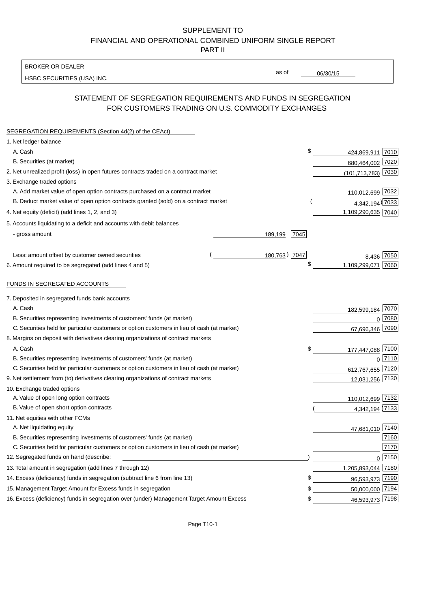## SUPPLEMENT TO FINANCIAL AND OPERATIONAL COMBINED UNIFORM SINGLE REPORT PART II

BROKER OR DEALER

HSBC SECURITIES (USA) INC.

06/30/15

as of

## STATEMENT OF SEGREGATION REQUIREMENTS AND FUNDS IN SEGREGATION FOR CUSTOMERS TRADING ON U.S. COMMODITY EXCHANGES

| SEGREGATION REQUIREMENTS (Section 4d(2) of the CEAct)                                       |                 |                    |        |
|---------------------------------------------------------------------------------------------|-----------------|--------------------|--------|
| 1. Net ledger balance                                                                       |                 |                    |        |
| A. Cash                                                                                     | \$              | 424,869,911 7010   |        |
| B. Securities (at market)                                                                   |                 | 680,464,002 7020   |        |
| 2. Net unrealized profit (loss) in open futures contracts traded on a contract market       |                 | (101,713,783) 7030 |        |
| 3. Exchange traded options                                                                  |                 |                    |        |
| A. Add market value of open option contracts purchased on a contract market                 |                 | 110,012,699 7032   |        |
| B. Deduct market value of open option contracts granted (sold) on a contract market         |                 | 4,342,194) 7033    |        |
| 4. Net equity (deficit) (add lines 1, 2, and 3)                                             |                 | 1,109,290,635 7040 |        |
| 5. Accounts liquidating to a deficit and accounts with debit balances                       |                 |                    |        |
| - gross amount                                                                              | 7045<br>189,199 |                    |        |
|                                                                                             |                 |                    |        |
| Less: amount offset by customer owned securities                                            | 180,763) 7047   | 8.436              | 7050   |
| 6. Amount required to be segregated (add lines 4 and 5)                                     | \$              | 1,109,299,071      | 7060   |
| FUNDS IN SEGREGATED ACCOUNTS                                                                |                 |                    |        |
| 7. Deposited in segregated funds bank accounts                                              |                 |                    |        |
| A. Cash                                                                                     |                 | 182,599,184        | 7070   |
| B. Securities representing investments of customers' funds (at market)                      |                 | $\Omega$           | 7080   |
| C. Securities held for particular customers or option customers in lieu of cash (at market) |                 | 67,696,346         | 7090   |
| 8. Margins on deposit with derivatives clearing organizations of contract markets           |                 |                    |        |
| A. Cash                                                                                     | \$              | 177,447,088 7100   |        |
| B. Securities representing investments of customers' funds (at market)                      |                 | $\Omega$           | 7110   |
| C. Securities held for particular customers or option customers in lieu of cash (at market) |                 | 612,767,655 7120   |        |
| 9. Net settlement from (to) derivatives clearing organizations of contract markets          |                 | 12,031,256 7130    |        |
| 10. Exchange traded options                                                                 |                 |                    |        |
| A. Value of open long option contracts                                                      |                 | 110,012,699 7132   |        |
| B. Value of open short option contracts                                                     |                 | 4,342,194 7133     |        |
| 11. Net equities with other FCMs                                                            |                 |                    |        |
| A. Net liquidating equity                                                                   |                 | 47,681,010 7140    |        |
| B. Securities representing investments of customers' funds (at market)                      |                 |                    | 7160   |
| C. Securities held for particular customers or option customers in lieu of cash (at market) |                 |                    | 7170   |
| 12. Segregated funds on hand (describe:                                                     |                 |                    | 0 7150 |
| 13. Total amount in segregation (add lines 7 through 12)                                    |                 | 1,205,893,044 7180 |        |
| 14. Excess (deficiency) funds in segregation (subtract line 6 from line 13)                 | \$              | 96,593,973 7190    |        |
| 15. Management Target Amount for Excess funds in segregation                                | \$              | 50,000,000 7194    |        |
| 16. Excess (deficiency) funds in segregation over (under) Management Target Amount Excess   | \$              | 46,593,973 7198    |        |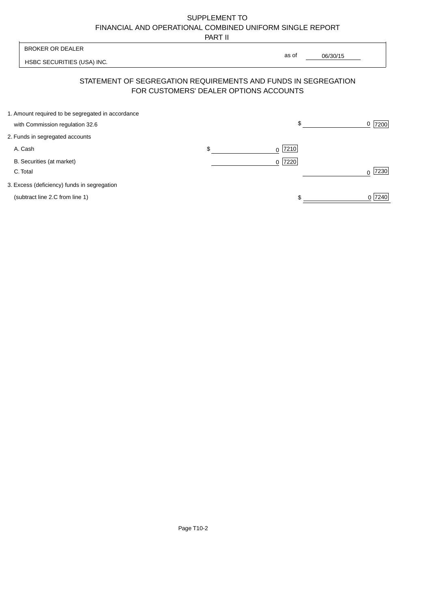# SUPPLEMENT TO FINANCIAL AND OPERATIONAL COMBINED UNIFORM SINGLE REPORT

PART II

|                                                                                      | .                      |                                                                                                                               |
|--------------------------------------------------------------------------------------|------------------------|-------------------------------------------------------------------------------------------------------------------------------|
| <b>BROKER OR DEALER</b>                                                              |                        |                                                                                                                               |
| HSBC SECURITIES (USA) INC.                                                           |                        |                                                                                                                               |
|                                                                                      |                        |                                                                                                                               |
| 1. Amount required to be segregated in accordance<br>with Commission regulation 32.6 | \$                     | 7200<br>0                                                                                                                     |
| 2. Funds in segregated accounts                                                      |                        |                                                                                                                               |
| A. Cash                                                                              | \$<br>7210<br>$\Omega$ |                                                                                                                               |
| B. Securities (at market)<br>C. Total                                                | 7220<br>0 <sup>1</sup> | 7230<br>$\Omega$                                                                                                              |
| 3. Excess (deficiency) funds in segregation                                          |                        |                                                                                                                               |
| (subtract line 2.C from line 1)                                                      |                        | 0 7240                                                                                                                        |
|                                                                                      |                        | as of<br>06/30/15<br>STATEMENT OF SEGREGATION REQUIREMENTS AND FUNDS IN SEGREGATION<br>FOR CUSTOMERS' DEALER OPTIONS ACCOUNTS |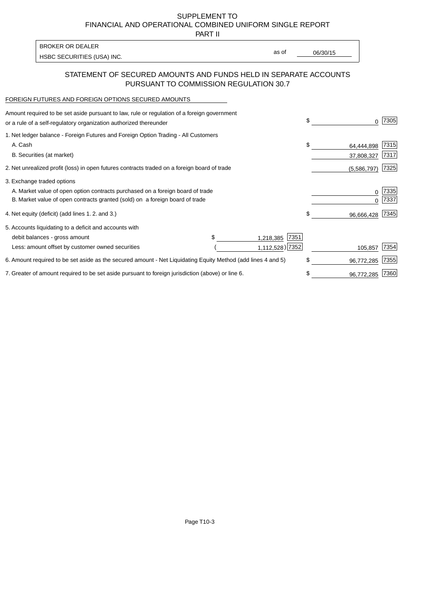SUPPLEMENT TO FINANCIAL AND OPERATIONAL COMBINED UNIFORM SINGLE REPORT

PART II

| <b>BROKER OR DEALER</b>    |       |          |
|----------------------------|-------|----------|
|                            | as of | 06/30/15 |
| HSBC SECURITIES (USA) INC. |       |          |

## STATEMENT OF SECURED AMOUNTS AND FUNDS HELD IN SEPARATE ACCOUNTS PURSUANT TO COMMISSION REGULATION 30.7

#### FOREIGN FUTURES AND FOREIGN OPTIONS SECURED AMOUNTS

| Amount required to be set aside pursuant to law, rule or regulation of a foreign government<br>or a rule of a self-regulatory organization authorized thereunder | \$                 |             | 7305 |
|------------------------------------------------------------------------------------------------------------------------------------------------------------------|--------------------|-------------|------|
| 1. Net ledger balance - Foreign Futures and Foreign Option Trading - All Customers                                                                               |                    |             |      |
| A. Cash                                                                                                                                                          | \$                 | 64,444,898  | 7315 |
| B. Securities (at market)                                                                                                                                        |                    | 37,808,327  | 7317 |
| 2. Net unrealized profit (loss) in open futures contracts traded on a foreign board of trade                                                                     |                    | (5,586,797) | 7325 |
| 3. Exchange traded options                                                                                                                                       |                    |             |      |
| A. Market value of open option contracts purchased on a foreign board of trade                                                                                   |                    |             | 7335 |
| B. Market value of open contracts granted (sold) on a foreign board of trade                                                                                     |                    |             | 7337 |
| 4. Net equity (deficit) (add lines 1.2. and 3.)                                                                                                                  | \$                 | 96,666,428  | 7345 |
| 5. Accounts liquidating to a deficit and accounts with                                                                                                           |                    |             |      |
| \$.<br>debit balances - gross amount                                                                                                                             | 7351<br>1,218,385  |             |      |
| Less: amount offset by customer owned securities                                                                                                                 | $1,112,528$ ) 7352 | 105,857     | 7354 |
| 6. Amount required to be set aside as the secured amount - Net Liquidating Equity Method (add lines 4 and 5)                                                     | \$                 | 96,772,285  | 7355 |
| 7. Greater of amount required to be set aside pursuant to foreign jurisdiction (above) or line 6.                                                                |                    | 96,772,285  | 7360 |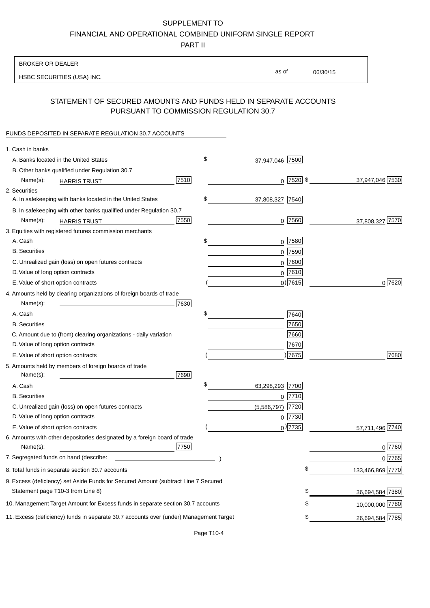# SUPPLEMENT TO

FINANCIAL AND OPERATIONAL COMBINED UNIFORM SINGLE REPORT

PART II

#### BROKER OR DEALER

HSBC SECURITIES (USA) INC.

06/30/15 as of

## STATEMENT OF SECURED AMOUNTS AND FUNDS HELD IN SEPARATE ACCOUNTS PURSUANT TO COMMISSION REGULATION 30.7

#### FUNDS DEPOSITED IN SEPARATE REGULATION 30.7 ACCOUNTS

| 1. Cash in banks                                                                       |             |                 |                  |
|----------------------------------------------------------------------------------------|-------------|-----------------|------------------|
| A. Banks located in the United States                                                  | \$          | 37,947,046 7500 |                  |
| B. Other banks qualified under Regulation 30.7                                         |             |                 |                  |
| 7510<br>Name(s):<br><b>HARRIS TRUST</b>                                                |             | $0$ 7520 \$     | 37,947,046 7530  |
| 2. Securities                                                                          |             |                 |                  |
| A. In safekeeping with banks located in the United States                              | \$          | 37,808,327 7540 |                  |
| B. In safekeeping with other banks qualified under Regulation 30.7                     |             |                 |                  |
| 7550<br>Name(s):<br><b>HARRIS TRUST</b>                                                |             | $0$ 7560        | 37,808,327 7570  |
| 3. Equities with registered futures commission merchants                               |             |                 |                  |
| A. Cash                                                                                | \$          | $0$   7580      |                  |
| <b>B.</b> Securities                                                                   |             | 0 7590          |                  |
| C. Unrealized gain (loss) on open futures contracts                                    |             | $0$  7600       |                  |
| D. Value of long option contracts                                                      |             | $0^{7610}$      |                  |
| E. Value of short option contracts                                                     |             | $0$ ) 7615      | 0 7620           |
| 4. Amounts held by clearing organizations of foreign boards of trade                   |             |                 |                  |
| Name(s):<br>7630                                                                       |             |                 |                  |
| A. Cash                                                                                | \$          | 7640            |                  |
| <b>B.</b> Securities                                                                   |             | 7650            |                  |
| C. Amount due to (from) clearing organizations - daily variation                       |             | 7660            |                  |
| D. Value of long option contracts                                                      |             | 7670            |                  |
| E. Value of short option contracts                                                     |             | )7675           | 7680             |
| 5. Amounts held by members of foreign boards of trade                                  |             |                 |                  |
| 7690<br>Name(s):                                                                       |             |                 |                  |
| A. Cash                                                                                | \$          | 63,298,293 7700 |                  |
| <b>B.</b> Securities                                                                   |             | $0$ 7710        |                  |
| C. Unrealized gain (loss) on open futures contracts                                    | (5,586,797) | 7720            |                  |
| D. Value of long option contracts                                                      |             | $0$  7730       |                  |
| E. Value of short option contracts                                                     |             | $_0$ ) 7735     | 57,711,496 7740  |
| 6. Amounts with other depositories designated by a foreign board of trade              |             |                 |                  |
| 7750<br>Name(s):                                                                       |             |                 | $0$ 7760         |
| 7. Segregated funds on hand (describe:                                                 |             |                 | 0 7765           |
| 8. Total funds in separate section 30.7 accounts                                       |             | φ               | 133,466,869 7770 |
| 9. Excess (deficiency) set Aside Funds for Secured Amount (subtract Line 7 Secured     |             |                 |                  |
| Statement page T10-3 from Line 8)                                                      |             | \$              | 36,694,584 7380  |
| 10. Management Target Amount for Excess funds in separate section 30.7 accounts        |             | \$              | 10,000,000 7780  |
| 11. Excess (deficiency) funds in separate 30.7 accounts over (under) Management Target |             | \$              | 26,694,584 7785  |
|                                                                                        |             |                 |                  |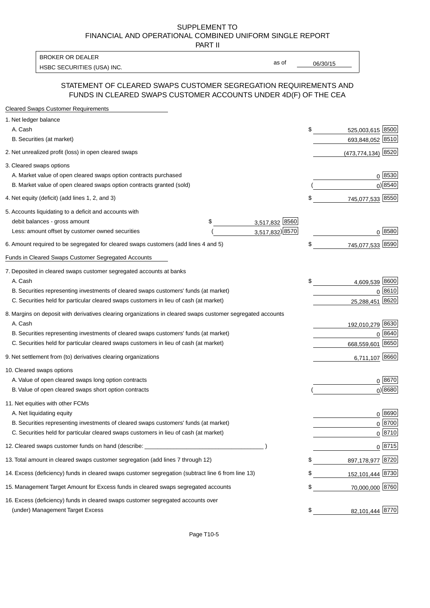#### SUPPLEMENT TO FINANCIAL AND OPERATIONAL COMBINED UNIFORM SINGLE REPORT PART II

HSBC SECURITIES (USA) INC. The contract of the contract of the contract of the contract of the contract of the contract of the contract of the contract of the contract of the contract of the contract of the contract of the BROKER OR DEALER

as of

## STATEMENT OF CLEARED SWAPS CUSTOMER SEGREGATION REQUIREMENTS AND FUNDS IN CLEARED SWAPS CUSTOMER ACCOUNTS UNDER 4D(F) OF THE CEA

| <b>Cleared Swaps Customer Requirements</b>                                                                  |                      |    |                      |
|-------------------------------------------------------------------------------------------------------------|----------------------|----|----------------------|
| 1. Net ledger balance                                                                                       |                      |    |                      |
| A. Cash                                                                                                     |                      | \$ | 525,003,615 8500     |
| B. Securities (at market)                                                                                   |                      |    | 693,848,052 8510     |
| 2. Net unrealized profit (loss) in open cleared swaps                                                       |                      |    | $(473,774,134)$ 8520 |
| 3. Cleared swaps options                                                                                    |                      |    |                      |
| A. Market value of open cleared swaps option contracts purchased                                            |                      |    | $0^{8530}$           |
| B. Market value of open cleared swaps option contracts granted (sold)                                       |                      |    | 0 8540               |
| 4. Net equity (deficit) (add lines 1, 2, and 3)                                                             |                      | \$ | 745,077,533 8550     |
| 5. Accounts liquidating to a deficit and accounts with                                                      |                      |    |                      |
| debit balances - gross amount                                                                               | 3,517,832 8560<br>\$ |    |                      |
| Less: amount offset by customer owned securities                                                            | 3,517,832) 8570      |    | 0 8580               |
| 6. Amount required to be segregated for cleared swaps customers (add lines 4 and 5)                         |                      | \$ | 745,077,533 8590     |
| Funds in Cleared Swaps Customer Segregated Accounts                                                         |                      |    |                      |
| 7. Deposited in cleared swaps customer segregated accounts at banks                                         |                      |    |                      |
| A. Cash                                                                                                     |                      | \$ | 4,609,539 8600       |
| B. Securities representing investments of cleared swaps customers' funds (at market)                        |                      |    | 0 8610               |
| C. Securities held for particular cleared swaps customers in lieu of cash (at market)                       |                      |    | 8620<br>25,288,451   |
| 8. Margins on deposit with derivatives clearing organizations in cleared swaps customer segregated accounts |                      |    |                      |
| A. Cash                                                                                                     |                      |    | 192,010,279 8630     |
| B. Securities representing investments of cleared swaps customers' funds (at market)                        |                      |    | 8640<br>0            |
| C. Securities held for particular cleared swaps customers in lieu of cash (at market)                       |                      |    | 8650<br>668,559,601  |
| 9. Net settlement from (to) derivatives clearing organizations                                              |                      |    | 6,711,107 8660       |
| 10. Cleared swaps options                                                                                   |                      |    |                      |
| A. Value of open cleared swaps long option contracts                                                        |                      |    | $0^{8670}$           |
| B. Value of open cleared swaps short option contracts                                                       |                      |    | $0$ ) 8680           |
| 11. Net equities with other FCMs                                                                            |                      |    |                      |
| A. Net liquidating equity                                                                                   |                      |    | $0^{8690}$           |
| B. Securities representing investments of cleared swaps customers' funds (at market)                        |                      |    | $0 \frac{8700}{ }$   |
| C. Securities held for particular cleared swaps customers in lieu of cash (at market)                       |                      |    | 0 8710               |
| 12. Cleared swaps customer funds on hand (describe: _                                                       |                      |    | $0 \;  8715 $        |
| 13. Total amount in cleared swaps customer segregation (add lines 7 through 12)                             |                      | S  | 897,178,977 8720     |
| 14. Excess (deficiency) funds in cleared swaps customer segregation (subtract line 6 from line 13)          |                      |    | 152,101,444 8730     |
| 15. Management Target Amount for Excess funds in cleared swaps segregated accounts                          |                      | \$ | 70,000,000 8760      |
| 16. Excess (deficiency) funds in cleared swaps customer segregated accounts over                            |                      |    |                      |
| (under) Management Target Excess                                                                            |                      | \$ | 82,101,444 8770      |